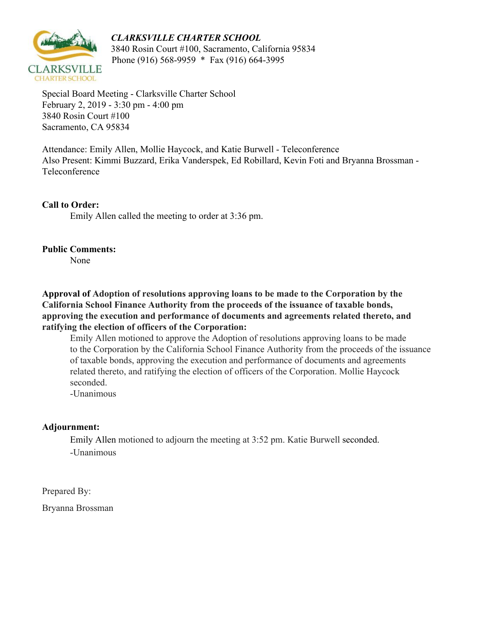## *CLARKSVILLE CHARTER SCHOOL*



 3840 Rosin Court #100, Sacramento, California 95834 Phone (916) 568-9959 \* Fax (916) 664-3995

Special Board Meeting - Clarksville Charter School February 2, 2019 - 3:30 pm - 4:00 pm 3840 Rosin Court #100 Sacramento, CA 95834

Attendance: Emily Allen, Mollie Haycock, and Katie Burwell - Teleconference Also Present: Kimmi Buzzard, Erika Vanderspek, Ed Robillard, Kevin Foti and Bryanna Brossman - Teleconference

## **Call to Order:**

Emily Allen called the meeting to order at 3:36 pm.

## **Public Comments:**

None

**Approval of Adoption of resolutions approving loans to be made to the Corporation by the California School Finance Authority from the proceeds of the issuance of taxable bonds, approving the execution and performance of documents and agreements related thereto, and ratifying the election of officers of the Corporation:**

Emily Allen motioned to approve the Adoption of resolutions approving loans to be made to the Corporation by the California School Finance Authority from the proceeds of the issuance of taxable bonds, approving the execution and performance of documents and agreements related thereto, and ratifying the election of officers of the Corporation. Mollie Haycock seconded.

-Unanimous

## **Adjournment:**

Emily Allen motioned to adjourn the meeting at 3:52 pm. Katie Burwell seconded. -Unanimous

Prepared By:

Bryanna Brossman